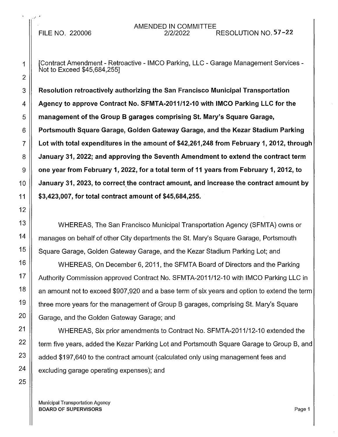\_, I •

1 [Contract Amendment - Retroactive - IMCO Parking, LLC - Garage Management Services - Not to Exceed \$45,684,255]

3 Resolution retroactively authorizing the San Francisco Municipal Transportation 4  $\parallel$  Agency to approve Contract No. SFMTA-2011/12-10 with IMCO Parking LLC for the  $5 \parallel$  management of the Group B garages comprising St. Mary's Square Garage,  $6 \parallel$  Portsmouth Square Garage, Golden Gateway Garage, and the Kezar Stadium Parking 7 Lot with total expenditures in the amount of \$42,261,248 from February 1, 2012, through 8 | January 31, 2022; and approving the Seventh Amendment to extend the contract term  $9 \parallel$  one year from February 1, 2022, for a total term of 11 years from February 1, 2012, to 10 **January 31, 2023, to correct the contract amount, and increase the contract amount by** 11 \$3,423,007, for total contract amount of \$45,684,255.

WHEREAS, The San Francisco Municipal Transportation Agency (SFMTA) owns or manages on behalf of other City departments the St. Mary's Square Garage, Portsmouth Square Garage, Golden Gateway Garage, and the Kezar Stadium Parking Lot; and

WHEREAS, On December 6, 2011, the SFMTA Board of Directors and the Parking Authority Commission approved Contract No. SFMTA-2011/12-10 with IMCO Parking LLC in an amount not to exceed \$907,920 and a base term of six years and option to extend the term three more years for the management of Group B garages, comprising St. Mary's Square Garage, and the Golden Gateway Garage; and

WHEREAS, Six prior amendments to Contract No. SFMTA-2011/12-10 extended the term five years, added the Kezar Parking Lot and Portsmouth Square Garage to Group B, and added \$197,640 to the contract amount (calculated only using management fees and excluding garage operating expenses); and

Municipal Transportation Agency **BOARD OF SUPERVISORS** Page 1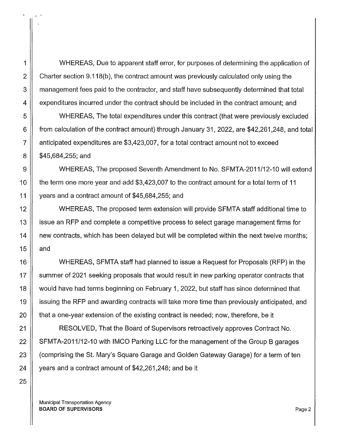1 WHEREAS, Due to apparent staff error, for purposes of determining the application of 2  $\parallel$  Charter section 9.118(b), the contract amount was previously calculated only using the 3 | management fees paid to the contractor, and staff have subsequently determined that total 4 | expenditures incurred under the contract should be included in the contract amount; and

5 WHEREAS, The total expenditures under this contract (that were previously excluded 6 from calculation of the contract amount) through January 31, 2022, are \$42,261,248, and total 7 anticipated expenditures are \$3,423,007, for a total contract amount not to exceed  $8 \parallel$  \$45,684,255; and

9 WHEREAS, The proposed Seventh Amendment to No. SFMTA-2011/12-10 will extend 10 **the term one more year and add \$3,423,007 to the contract amount for a total term of 11** 11 years and a contract amount of \$45,684,255; and

12 ||<br>
WHEREAS, The proposed term extension will provide SFMTA staff additional time to 13 issue an RFP and complete a competitive process to select garage management firms for 14  $\parallel$  new contracts, which has been delayed but will be completed within the next twelve months; 15  $\parallel$  and

16 WHEREAS, SFMTA staff had planned to issue a Request for Proposals (RFP) in the 17 Summer of 2021 seeking proposals that would result in new parking operator contracts that 18 would have had terms beginning on February 1, 2022, but staff has since determined that 19 issuing the RFP and awarding contracts will take more time than previously anticipated, and 20  $\parallel$  that a one-year extension of the existing contract is needed; now, therefore, be it

21 RESOLVED, That the Board of Supervisors retroactively approves Contract No. 22 | SFMTA-2011/12-10 with IMCO Parking LLC for the management of the Group B garages 23 | (comprising the St. Mary's Square Garage and Golden Gateway Garage) for a term of ten 24  $\parallel$  years and a contract amount of \$42,261,248; and be it

Municipal Transportation Agency BOARD OF SUPERVISORS Page 2

.,1 .•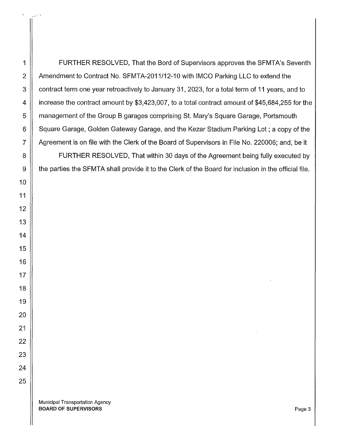1 | FURTHER RESOLVED, That the Bord of Supervisors approves the SFMTA's Seventh 2 | Amendment to Contract No. SFMTA-2011/12-10 with IMCO Parking LLC to extend the 3 | contract term one year retroactively to January 31, 2023, for a total term of 11 years, and to 4 increase the contract amount by \$3,423,007, to a total contract amount of \$45,684,255 for the 5 | management of the Group B garages comprising St. Mary's Square Garage, Portsmouth 6 Square Garage, Golden Gateway Garage, and the Kezar Stadium Parking Lot; a copy of the 7 | Agreement is on file with the Clerk of the Board of Supervisors in File No. 220006; and, be it

8 | FURTHER RESOLVED, That within 30 days of the Agreement being fully executed by 9 | the parties the SFMTA shall provide it to the Clerk of the Board for inclusion in the official file.

Municipal Transportation Agency BOARD OF SUPERVISORS Page 3